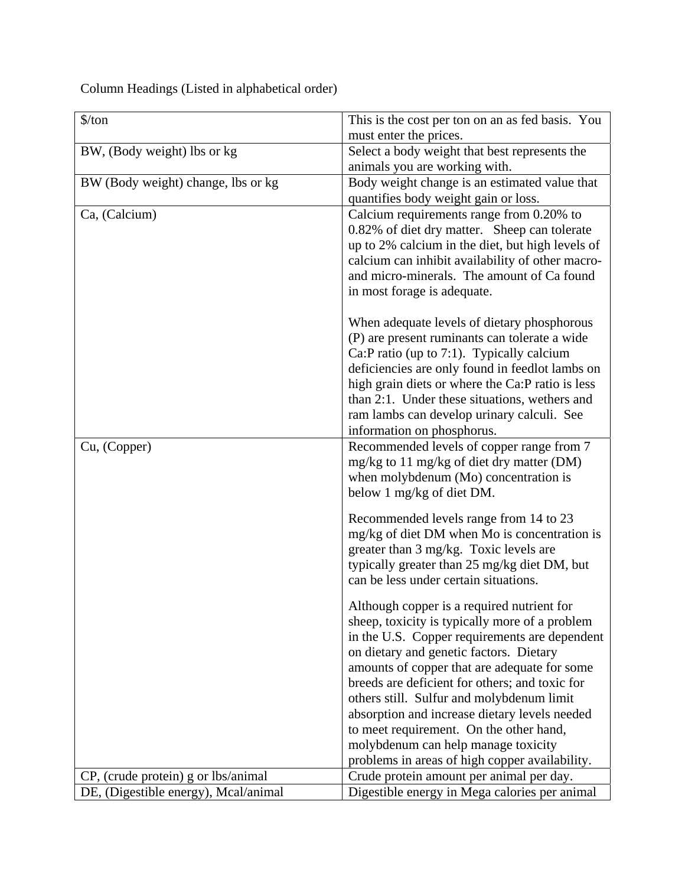Column Headings (Listed in alphabetical order)

| must enter the prices.<br>BW, (Body weight) lbs or kg<br>Select a body weight that best represents the<br>animals you are working with.<br>BW (Body weight) change, lbs or kg<br>Body weight change is an estimated value that<br>quantifies body weight gain or loss.<br>Ca, (Calcium)<br>Calcium requirements range from 0.20% to<br>0.82% of diet dry matter. Sheep can tolerate<br>up to 2% calcium in the diet, but high levels of<br>calcium can inhibit availability of other macro-<br>and micro-minerals. The amount of Ca found<br>in most forage is adequate.<br>When adequate levels of dietary phosphorous<br>(P) are present ruminants can tolerate a wide<br>Ca:P ratio (up to 7:1). Typically calcium<br>deficiencies are only found in feedlot lambs on<br>high grain diets or where the Ca:P ratio is less<br>than 2:1. Under these situations, wethers and<br>ram lambs can develop urinary calculi. See<br>information on phosphorus.<br>Recommended levels of copper range from 7<br>Cu, (Copper)<br>mg/kg to 11 mg/kg of diet dry matter (DM)<br>when molybdenum (Mo) concentration is<br>below 1 mg/kg of diet DM.<br>Recommended levels range from 14 to 23<br>mg/kg of diet DM when Mo is concentration is<br>greater than 3 mg/kg. Toxic levels are<br>typically greater than 25 mg/kg diet DM, but<br>can be less under certain situations. | $\frac{\sqrt{2}}{2}$ | This is the cost per ton on an as fed basis. You |
|------------------------------------------------------------------------------------------------------------------------------------------------------------------------------------------------------------------------------------------------------------------------------------------------------------------------------------------------------------------------------------------------------------------------------------------------------------------------------------------------------------------------------------------------------------------------------------------------------------------------------------------------------------------------------------------------------------------------------------------------------------------------------------------------------------------------------------------------------------------------------------------------------------------------------------------------------------------------------------------------------------------------------------------------------------------------------------------------------------------------------------------------------------------------------------------------------------------------------------------------------------------------------------------------------------------------------------------------------------------------|----------------------|--------------------------------------------------|
|                                                                                                                                                                                                                                                                                                                                                                                                                                                                                                                                                                                                                                                                                                                                                                                                                                                                                                                                                                                                                                                                                                                                                                                                                                                                                                                                                                        |                      |                                                  |
|                                                                                                                                                                                                                                                                                                                                                                                                                                                                                                                                                                                                                                                                                                                                                                                                                                                                                                                                                                                                                                                                                                                                                                                                                                                                                                                                                                        |                      |                                                  |
|                                                                                                                                                                                                                                                                                                                                                                                                                                                                                                                                                                                                                                                                                                                                                                                                                                                                                                                                                                                                                                                                                                                                                                                                                                                                                                                                                                        |                      |                                                  |
|                                                                                                                                                                                                                                                                                                                                                                                                                                                                                                                                                                                                                                                                                                                                                                                                                                                                                                                                                                                                                                                                                                                                                                                                                                                                                                                                                                        |                      |                                                  |
|                                                                                                                                                                                                                                                                                                                                                                                                                                                                                                                                                                                                                                                                                                                                                                                                                                                                                                                                                                                                                                                                                                                                                                                                                                                                                                                                                                        |                      |                                                  |
|                                                                                                                                                                                                                                                                                                                                                                                                                                                                                                                                                                                                                                                                                                                                                                                                                                                                                                                                                                                                                                                                                                                                                                                                                                                                                                                                                                        |                      |                                                  |
|                                                                                                                                                                                                                                                                                                                                                                                                                                                                                                                                                                                                                                                                                                                                                                                                                                                                                                                                                                                                                                                                                                                                                                                                                                                                                                                                                                        |                      |                                                  |
|                                                                                                                                                                                                                                                                                                                                                                                                                                                                                                                                                                                                                                                                                                                                                                                                                                                                                                                                                                                                                                                                                                                                                                                                                                                                                                                                                                        |                      |                                                  |
|                                                                                                                                                                                                                                                                                                                                                                                                                                                                                                                                                                                                                                                                                                                                                                                                                                                                                                                                                                                                                                                                                                                                                                                                                                                                                                                                                                        |                      |                                                  |
|                                                                                                                                                                                                                                                                                                                                                                                                                                                                                                                                                                                                                                                                                                                                                                                                                                                                                                                                                                                                                                                                                                                                                                                                                                                                                                                                                                        |                      |                                                  |
|                                                                                                                                                                                                                                                                                                                                                                                                                                                                                                                                                                                                                                                                                                                                                                                                                                                                                                                                                                                                                                                                                                                                                                                                                                                                                                                                                                        |                      |                                                  |
|                                                                                                                                                                                                                                                                                                                                                                                                                                                                                                                                                                                                                                                                                                                                                                                                                                                                                                                                                                                                                                                                                                                                                                                                                                                                                                                                                                        |                      |                                                  |
|                                                                                                                                                                                                                                                                                                                                                                                                                                                                                                                                                                                                                                                                                                                                                                                                                                                                                                                                                                                                                                                                                                                                                                                                                                                                                                                                                                        |                      |                                                  |
|                                                                                                                                                                                                                                                                                                                                                                                                                                                                                                                                                                                                                                                                                                                                                                                                                                                                                                                                                                                                                                                                                                                                                                                                                                                                                                                                                                        |                      |                                                  |
|                                                                                                                                                                                                                                                                                                                                                                                                                                                                                                                                                                                                                                                                                                                                                                                                                                                                                                                                                                                                                                                                                                                                                                                                                                                                                                                                                                        |                      |                                                  |
|                                                                                                                                                                                                                                                                                                                                                                                                                                                                                                                                                                                                                                                                                                                                                                                                                                                                                                                                                                                                                                                                                                                                                                                                                                                                                                                                                                        |                      |                                                  |
|                                                                                                                                                                                                                                                                                                                                                                                                                                                                                                                                                                                                                                                                                                                                                                                                                                                                                                                                                                                                                                                                                                                                                                                                                                                                                                                                                                        |                      |                                                  |
|                                                                                                                                                                                                                                                                                                                                                                                                                                                                                                                                                                                                                                                                                                                                                                                                                                                                                                                                                                                                                                                                                                                                                                                                                                                                                                                                                                        |                      |                                                  |
|                                                                                                                                                                                                                                                                                                                                                                                                                                                                                                                                                                                                                                                                                                                                                                                                                                                                                                                                                                                                                                                                                                                                                                                                                                                                                                                                                                        |                      |                                                  |
|                                                                                                                                                                                                                                                                                                                                                                                                                                                                                                                                                                                                                                                                                                                                                                                                                                                                                                                                                                                                                                                                                                                                                                                                                                                                                                                                                                        |                      |                                                  |
|                                                                                                                                                                                                                                                                                                                                                                                                                                                                                                                                                                                                                                                                                                                                                                                                                                                                                                                                                                                                                                                                                                                                                                                                                                                                                                                                                                        |                      |                                                  |
|                                                                                                                                                                                                                                                                                                                                                                                                                                                                                                                                                                                                                                                                                                                                                                                                                                                                                                                                                                                                                                                                                                                                                                                                                                                                                                                                                                        |                      |                                                  |
|                                                                                                                                                                                                                                                                                                                                                                                                                                                                                                                                                                                                                                                                                                                                                                                                                                                                                                                                                                                                                                                                                                                                                                                                                                                                                                                                                                        |                      |                                                  |
|                                                                                                                                                                                                                                                                                                                                                                                                                                                                                                                                                                                                                                                                                                                                                                                                                                                                                                                                                                                                                                                                                                                                                                                                                                                                                                                                                                        |                      |                                                  |
|                                                                                                                                                                                                                                                                                                                                                                                                                                                                                                                                                                                                                                                                                                                                                                                                                                                                                                                                                                                                                                                                                                                                                                                                                                                                                                                                                                        |                      |                                                  |
|                                                                                                                                                                                                                                                                                                                                                                                                                                                                                                                                                                                                                                                                                                                                                                                                                                                                                                                                                                                                                                                                                                                                                                                                                                                                                                                                                                        |                      |                                                  |
|                                                                                                                                                                                                                                                                                                                                                                                                                                                                                                                                                                                                                                                                                                                                                                                                                                                                                                                                                                                                                                                                                                                                                                                                                                                                                                                                                                        |                      |                                                  |
|                                                                                                                                                                                                                                                                                                                                                                                                                                                                                                                                                                                                                                                                                                                                                                                                                                                                                                                                                                                                                                                                                                                                                                                                                                                                                                                                                                        |                      |                                                  |
| Although copper is a required nutrient for                                                                                                                                                                                                                                                                                                                                                                                                                                                                                                                                                                                                                                                                                                                                                                                                                                                                                                                                                                                                                                                                                                                                                                                                                                                                                                                             |                      |                                                  |
| sheep, toxicity is typically more of a problem                                                                                                                                                                                                                                                                                                                                                                                                                                                                                                                                                                                                                                                                                                                                                                                                                                                                                                                                                                                                                                                                                                                                                                                                                                                                                                                         |                      |                                                  |
| in the U.S. Copper requirements are dependent                                                                                                                                                                                                                                                                                                                                                                                                                                                                                                                                                                                                                                                                                                                                                                                                                                                                                                                                                                                                                                                                                                                                                                                                                                                                                                                          |                      |                                                  |
| on dietary and genetic factors. Dietary                                                                                                                                                                                                                                                                                                                                                                                                                                                                                                                                                                                                                                                                                                                                                                                                                                                                                                                                                                                                                                                                                                                                                                                                                                                                                                                                |                      |                                                  |
| amounts of copper that are adequate for some                                                                                                                                                                                                                                                                                                                                                                                                                                                                                                                                                                                                                                                                                                                                                                                                                                                                                                                                                                                                                                                                                                                                                                                                                                                                                                                           |                      |                                                  |
| breeds are deficient for others; and toxic for                                                                                                                                                                                                                                                                                                                                                                                                                                                                                                                                                                                                                                                                                                                                                                                                                                                                                                                                                                                                                                                                                                                                                                                                                                                                                                                         |                      |                                                  |
| others still. Sulfur and molybdenum limit                                                                                                                                                                                                                                                                                                                                                                                                                                                                                                                                                                                                                                                                                                                                                                                                                                                                                                                                                                                                                                                                                                                                                                                                                                                                                                                              |                      |                                                  |
| absorption and increase dietary levels needed                                                                                                                                                                                                                                                                                                                                                                                                                                                                                                                                                                                                                                                                                                                                                                                                                                                                                                                                                                                                                                                                                                                                                                                                                                                                                                                          |                      |                                                  |
| to meet requirement. On the other hand,                                                                                                                                                                                                                                                                                                                                                                                                                                                                                                                                                                                                                                                                                                                                                                                                                                                                                                                                                                                                                                                                                                                                                                                                                                                                                                                                |                      |                                                  |
| molybdenum can help manage toxicity                                                                                                                                                                                                                                                                                                                                                                                                                                                                                                                                                                                                                                                                                                                                                                                                                                                                                                                                                                                                                                                                                                                                                                                                                                                                                                                                    |                      |                                                  |
| problems in areas of high copper availability.<br>Crude protein amount per animal per day.<br>CP, (crude protein) g or lbs/animal                                                                                                                                                                                                                                                                                                                                                                                                                                                                                                                                                                                                                                                                                                                                                                                                                                                                                                                                                                                                                                                                                                                                                                                                                                      |                      |                                                  |
| DE, (Digestible energy), Mcal/animal<br>Digestible energy in Mega calories per animal                                                                                                                                                                                                                                                                                                                                                                                                                                                                                                                                                                                                                                                                                                                                                                                                                                                                                                                                                                                                                                                                                                                                                                                                                                                                                  |                      |                                                  |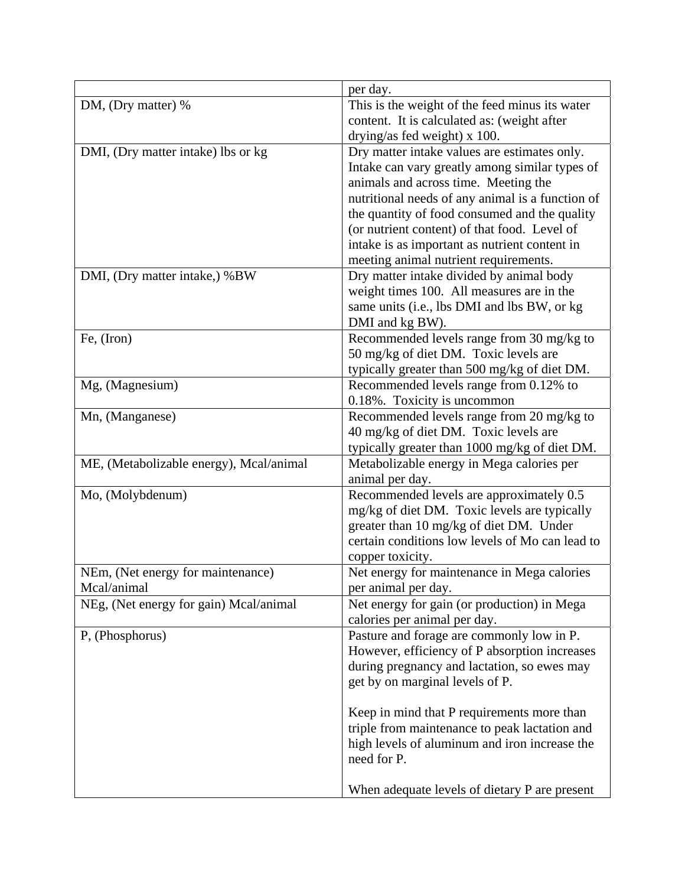|                                         | per day.                                         |
|-----------------------------------------|--------------------------------------------------|
| DM, (Dry matter) %                      | This is the weight of the feed minus its water   |
|                                         | content. It is calculated as: (weight after      |
|                                         | drying/as fed weight) $x$ 100.                   |
| DMI, (Dry matter intake) lbs or kg      | Dry matter intake values are estimates only.     |
|                                         | Intake can vary greatly among similar types of   |
|                                         | animals and across time. Meeting the             |
|                                         | nutritional needs of any animal is a function of |
|                                         | the quantity of food consumed and the quality    |
|                                         | (or nutrient content) of that food. Level of     |
|                                         | intake is as important as nutrient content in    |
|                                         | meeting animal nutrient requirements.            |
| DMI, (Dry matter intake,) %BW           | Dry matter intake divided by animal body         |
|                                         | weight times 100. All measures are in the        |
|                                         | same units (i.e., lbs DMI and lbs BW, or kg      |
|                                         | DMI and kg BW).                                  |
| Fe, (Iron)                              | Recommended levels range from 30 mg/kg to        |
|                                         | 50 mg/kg of diet DM. Toxic levels are            |
|                                         | typically greater than 500 mg/kg of diet DM.     |
| Mg, (Magnesium)                         | Recommended levels range from 0.12% to           |
|                                         | 0.18%. Toxicity is uncommon                      |
| Mn, (Manganese)                         | Recommended levels range from 20 mg/kg to        |
|                                         | 40 mg/kg of diet DM. Toxic levels are            |
|                                         | typically greater than 1000 mg/kg of diet DM.    |
| ME, (Metabolizable energy), Mcal/animal | Metabolizable energy in Mega calories per        |
|                                         | animal per day.                                  |
| Mo, (Molybdenum)                        | Recommended levels are approximately 0.5         |
|                                         | mg/kg of diet DM. Toxic levels are typically     |
|                                         | greater than 10 mg/kg of diet DM. Under          |
|                                         | certain conditions low levels of Mo can lead to  |
|                                         | copper toxicity.                                 |
| NEm, (Net energy for maintenance)       | Net energy for maintenance in Mega calories      |
| Mcal/animal                             | per animal per day.                              |
| NEg, (Net energy for gain) Mcal/animal  | Net energy for gain (or production) in Mega      |
|                                         | calories per animal per day.                     |
| P, (Phosphorus)                         | Pasture and forage are commonly low in P.        |
|                                         | However, efficiency of P absorption increases    |
|                                         | during pregnancy and lactation, so ewes may      |
|                                         | get by on marginal levels of P.                  |
|                                         |                                                  |
|                                         | Keep in mind that P requirements more than       |
|                                         | triple from maintenance to peak lactation and    |
|                                         | high levels of aluminum and iron increase the    |
|                                         | need for P.                                      |
|                                         |                                                  |
|                                         | When adequate levels of dietary P are present    |